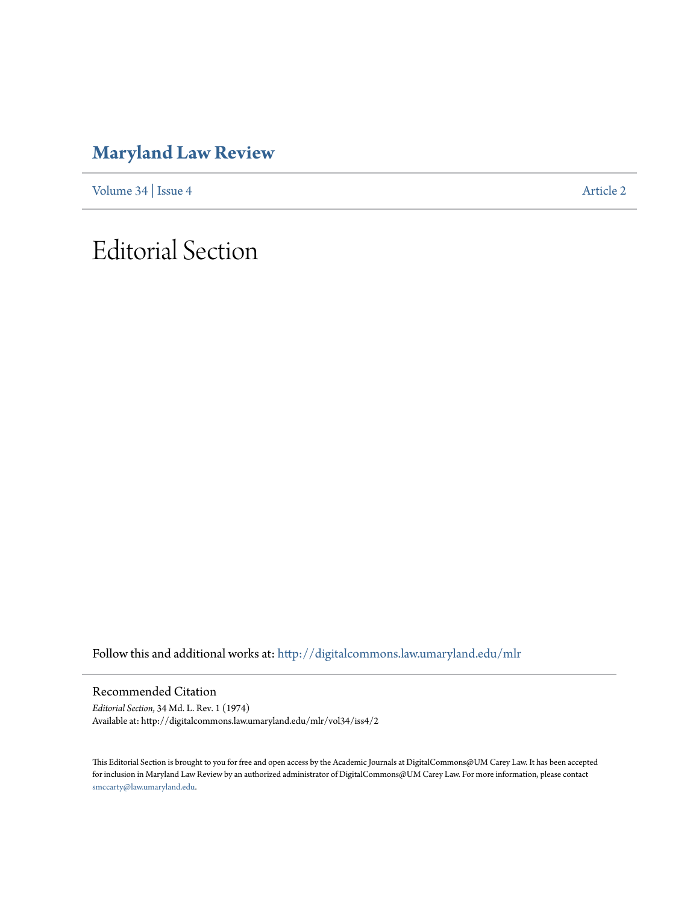## **[Maryland Law Review](http://digitalcommons.law.umaryland.edu/mlr?utm_source=digitalcommons.law.umaryland.edu%2Fmlr%2Fvol34%2Fiss4%2F2&utm_medium=PDF&utm_campaign=PDFCoverPages)**

[Volume 34](http://digitalcommons.law.umaryland.edu/mlr/vol34?utm_source=digitalcommons.law.umaryland.edu%2Fmlr%2Fvol34%2Fiss4%2F2&utm_medium=PDF&utm_campaign=PDFCoverPages) | [Issue 4](http://digitalcommons.law.umaryland.edu/mlr/vol34/iss4?utm_source=digitalcommons.law.umaryland.edu%2Fmlr%2Fvol34%2Fiss4%2F2&utm_medium=PDF&utm_campaign=PDFCoverPages) [Article 2](http://digitalcommons.law.umaryland.edu/mlr/vol34/iss4/2?utm_source=digitalcommons.law.umaryland.edu%2Fmlr%2Fvol34%2Fiss4%2F2&utm_medium=PDF&utm_campaign=PDFCoverPages)

## Editorial Section

Follow this and additional works at: [http://digitalcommons.law.umaryland.edu/mlr](http://digitalcommons.law.umaryland.edu/mlr?utm_source=digitalcommons.law.umaryland.edu%2Fmlr%2Fvol34%2Fiss4%2F2&utm_medium=PDF&utm_campaign=PDFCoverPages)

Recommended Citation

*Editorial Section*, 34 Md. L. Rev. 1 (1974) Available at: http://digitalcommons.law.umaryland.edu/mlr/vol34/iss4/2

This Editorial Section is brought to you for free and open access by the Academic Journals at DigitalCommons@UM Carey Law. It has been accepted for inclusion in Maryland Law Review by an authorized administrator of DigitalCommons@UM Carey Law. For more information, please contact [smccarty@law.umaryland.edu.](mailto:smccarty@law.umaryland.edu)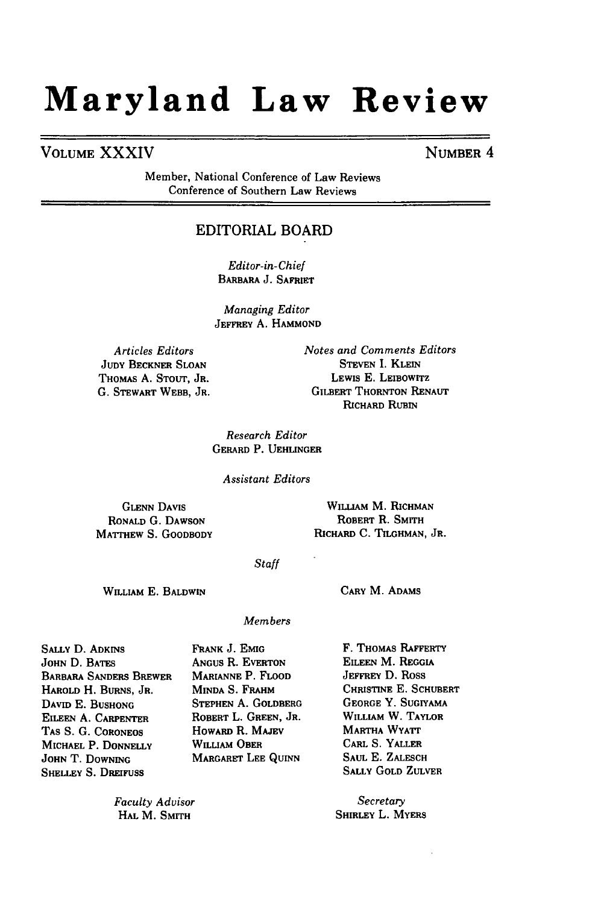# **Maryland Law Review**

## **VOLUME** XXXIV **NUMBER** 4

Member, National Conference of Law Reviews Conference of Southern Law Reviews

## EDITORIAL BOARD

*Editor-in-Chief* BARBARA **J.** SAFRIET

*Managing Editor* JEFFREY **A. HAMMOND**

*Articles Editors* **JUDY** BECKNER **SLOAN** THOMAS A. **STOUT,** JR. **G.** STEWART WEBB, JR. *Notes and Comments Editors* STEVEN I. **KLEIN** LEWIS E. LEIBOWITZ GILBERT THORNTON **RENAUT RICHARD** RUBIN

*Research Editor* GERARD P. **UEHLINGER**

*Assistant Editors*

**GLENN DAVIS** RONALD **G. DAWSON** MATTHEW **S.** GOODBODY

WILLIAM M. RICHMAN ROBERT R. SMITH RICHARD **C.** TILGHMAN, JR.

### *Staff*

WILLIAM **E.** BALDWIN

### CARY M. **ADAMS**

*Members*

**SALLY** D. **ADKINS JOHN D. BATES** BARBARA SANDERS BREWER HAROLD H. BURNS, JR. DAVID E. **BUSHONG** EILEEN A. CARPENTER **TAS** S. G. CORONEOS **MICHAEL** P. **DONNELLY JOHN** T. **DOWNING SHELLEY S. DREIFUSS** 

ANGUS R. EVERTON MARIANNE P. FLOOD **MINDA S. FRAHM STEPHEN A. GOLDBERG** ROBERT L. GREEN, JR. HOWARD R. MAJEV WILLIAM OBER MARGARET **LEE** QUINN

FRANK J. **EMIG**

*Faculty Advisor* HAL M. SMITH

F. THOMAS RAFFERTY EILEEN M. REGGIA **JEFFREY** D. Ross CHRISTINE **E.** SCHUBERT **GEORGE** Y. **SUGIYAMA** WILLIAM W. TAYLOR MARTHA WYATT CARL **S.** YALLER SAUL E. ZALESCH SALLY GOLD ZULVER

*Secretary* SHIRLEY L. MYERS